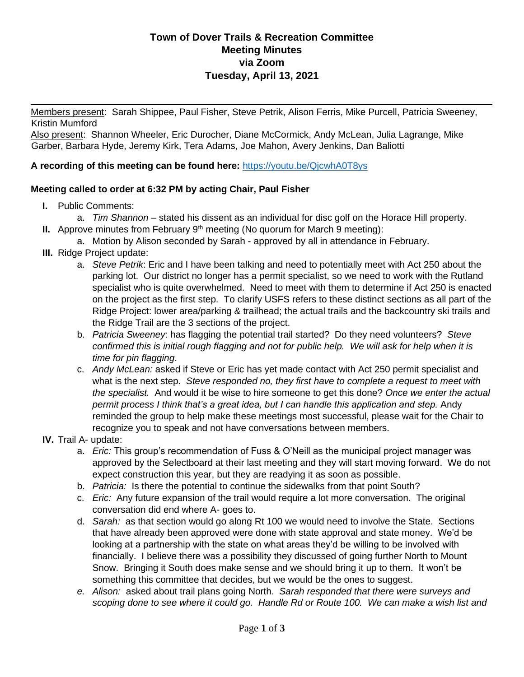# **Town of Dover Trails & Recreation Committee Meeting Minutes via Zoom Tuesday, April 13, 2021**

 $\mathcal{L}$ 

Members present: Sarah Shippee, Paul Fisher, Steve Petrik, Alison Ferris, Mike Purcell, Patricia Sweeney, Kristin Mumford

Also present: Shannon Wheeler, Eric Durocher, Diane McCormick, Andy McLean, Julia Lagrange, Mike Garber, Barbara Hyde, Jeremy Kirk, Tera Adams, Joe Mahon, Avery Jenkins, Dan Baliotti

### **A recording of this meeting can be found here:** <https://youtu.be/QjcwhA0T8ys>

### **Meeting called to order at 6:32 PM by acting Chair, Paul Fisher**

- **I.** Public Comments:
	- a. *Tim Shannon* stated his dissent as an individual for disc golf on the Horace Hill property.
- **II.** Approve minutes from February  $9<sup>th</sup>$  meeting (No quorum for March 9 meeting):
	- a. Motion by Alison seconded by Sarah approved by all in attendance in February.
- **III.** Ridge Project update:
	- a. *Steve Petrik*: Eric and I have been talking and need to potentially meet with Act 250 about the parking lot. Our district no longer has a permit specialist, so we need to work with the Rutland specialist who is quite overwhelmed. Need to meet with them to determine if Act 250 is enacted on the project as the first step. To clarify USFS refers to these distinct sections as all part of the Ridge Project: lower area/parking & trailhead; the actual trails and the backcountry ski trails and the Ridge Trail are the 3 sections of the project.
	- b. *Patricia Sweeney*: has flagging the potential trail started? Do they need volunteers? *Steve confirmed this is initial rough flagging and not for public help. We will ask for help when it is time for pin flagging*.
	- c. *Andy McLean:* asked if Steve or Eric has yet made contact with Act 250 permit specialist and what is the next step. *Steve responded no, they first have to complete a request to meet with the specialist.* And would it be wise to hire someone to get this done? *Once we enter the actual permit process I think that's a great idea, but I can handle this application and step.* Andy reminded the group to help make these meetings most successful, please wait for the Chair to recognize you to speak and not have conversations between members.
- **IV.** Trail A- update:
	- a. *Eric:* This group's recommendation of Fuss & O'Neill as the municipal project manager was approved by the Selectboard at their last meeting and they will start moving forward. We do not expect construction this year, but they are readying it as soon as possible.
	- b. *Patricia:* Is there the potential to continue the sidewalks from that point South?
	- c. *Eric:* Any future expansion of the trail would require a lot more conversation. The original conversation did end where A- goes to.
	- d. *Sarah:* as that section would go along Rt 100 we would need to involve the State. Sections that have already been approved were done with state approval and state money. We'd be looking at a partnership with the state on what areas they'd be willing to be involved with financially. I believe there was a possibility they discussed of going further North to Mount Snow. Bringing it South does make sense and we should bring it up to them. It won't be something this committee that decides, but we would be the ones to suggest.
	- *e. Alison:* asked about trail plans going North. *Sarah responded that there were surveys and scoping done to see where it could go. Handle Rd or Route 100. We can make a wish list and*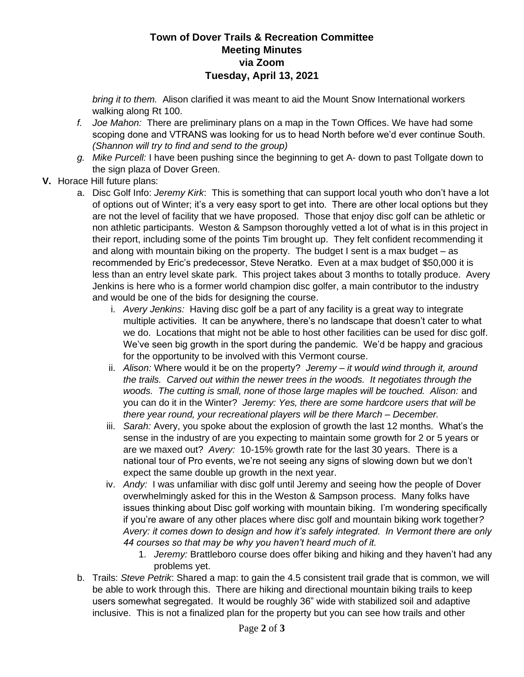# **Town of Dover Trails & Recreation Committee Meeting Minutes via Zoom Tuesday, April 13, 2021**

*bring it to them.* Alison clarified it was meant to aid the Mount Snow International workers walking along Rt 100.

- *f. Joe Mahon:* There are preliminary plans on a map in the Town Offices. We have had some scoping done and VTRANS was looking for us to head North before we'd ever continue South. *(Shannon will try to find and send to the group)*
- *g. Mike Purcell:* I have been pushing since the beginning to get A- down to past Tollgate down to the sign plaza of Dover Green.
- **V.** Horace Hill future plans:
	- a. Disc Golf Info: *Jeremy Kirk*: This is something that can support local youth who don't have a lot of options out of Winter; it's a very easy sport to get into. There are other local options but they are not the level of facility that we have proposed. Those that enjoy disc golf can be athletic or non athletic participants. Weston & Sampson thoroughly vetted a lot of what is in this project in their report, including some of the points Tim brought up. They felt confident recommending it and along with mountain biking on the property. The budget I sent is a max budget – as recommended by Eric's predecessor, Steve Neratko. Even at a max budget of \$50,000 it is less than an entry level skate park. This project takes about 3 months to totally produce. Avery Jenkins is here who is a former world champion disc golfer, a main contributor to the industry and would be one of the bids for designing the course.
		- i. *Avery Jenkins:* Having disc golf be a part of any facility is a great way to integrate multiple activities. It can be anywhere, there's no landscape that doesn't cater to what we do. Locations that might not be able to host other facilities can be used for disc golf. We've seen big growth in the sport during the pandemic. We'd be happy and gracious for the opportunity to be involved with this Vermont course.
		- ii. *Alison:* Where would it be on the property? *Jeremy – it would wind through it, around the trails. Carved out within the newer trees in the woods. It negotiates through the*  woods. The cutting is small, none of those large maples will be touched. Alison: and you can do it in the Winter? *Jeremy: Yes, there are some hardcore users that will be there year round, your recreational players will be there March – December.*
		- iii. *Sarah:* Avery, you spoke about the explosion of growth the last 12 months. What's the sense in the industry of are you expecting to maintain some growth for 2 or 5 years or are we maxed out? *Avery:* 10-15% growth rate for the last 30 years. There is a national tour of Pro events, we're not seeing any signs of slowing down but we don't expect the same double up growth in the next year.
		- iv. *Andy:* I was unfamiliar with disc golf until Jeremy and seeing how the people of Dover overwhelmingly asked for this in the Weston & Sampson process. Many folks have issues thinking about Disc golf working with mountain biking. I'm wondering specifically if you're aware of any other places where disc golf and mountain biking work together*? Avery: it comes down to design and how it's safely integrated. In Vermont there are only 44 courses so that may be why you haven't heard much of it.*
			- 1. *Jeremy:* Brattleboro course does offer biking and hiking and they haven't had any problems yet.
	- b. Trails: *Steve Petrik*: Shared a map: to gain the 4.5 consistent trail grade that is common, we will be able to work through this. There are hiking and directional mountain biking trails to keep users somewhat segregated. It would be roughly 36" wide with stabilized soil and adaptive inclusive. This is not a finalized plan for the property but you can see how trails and other